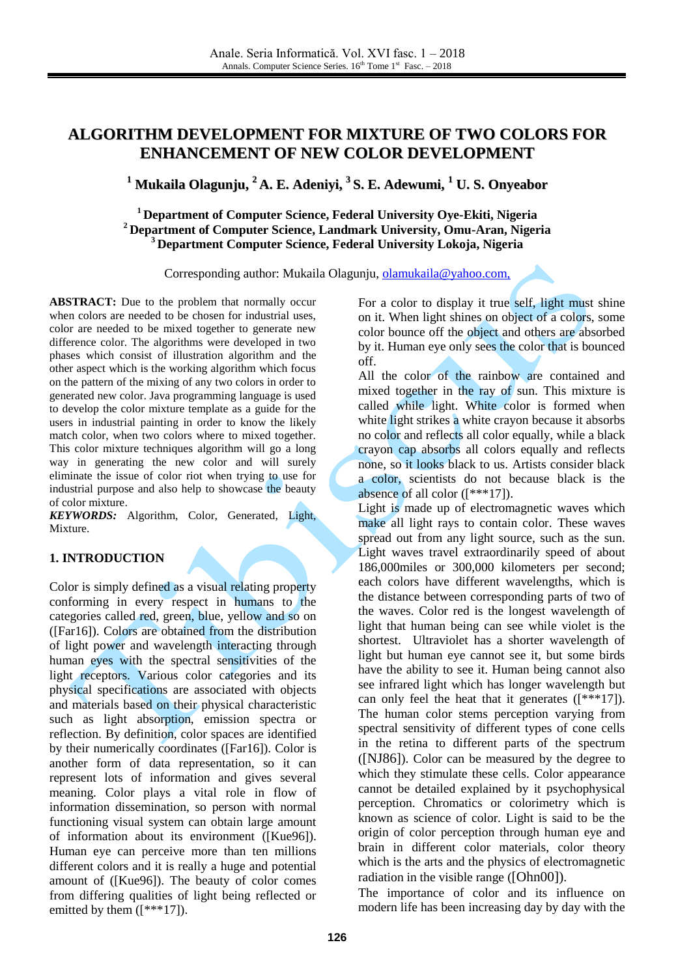# **ALGORITHM DEVELOPMENT FOR MIXTURE OF TWO COLORS FOR ENHANCEMENT OF NEW COLOR DEVELOPMENT**

**<sup>1</sup> Mukaila Olagunju, <sup>2</sup> A. E. Adeniyi, 3 S. E. Adewumi, <sup>1</sup> U. S. Onyeabor**

**<sup>1</sup> Department of Computer Science, Federal University Oye-Ekiti, Nigeria <sup>2</sup> Department of Computer Science, Landmark University, Omu-Aran, Nigeria <sup>3</sup> Department Computer Science, Federal University Lokoja, Nigeria** 

Corresponding author: Mukaila Olagunju, [olamukaila@yahoo.com,](mailto:olamukaila@yahoo.com)

**ABSTRACT:** Due to the problem that normally occur when colors are needed to be chosen for industrial uses, color are needed to be mixed together to generate new difference color. The algorithms were developed in two phases which consist of illustration algorithm and the other aspect which is the working algorithm which focus on the pattern of the mixing of any two colors in order to generated new color. Java programming language is used to develop the color mixture template as a guide for the users in industrial painting in order to know the likely match color, when two colors where to mixed together. This color mixture techniques algorithm will go a long way in generating the new color and will surely eliminate the issue of color riot when trying to use for industrial purpose and also help to showcase the beauty of color mixture.

*KEYWORDS:* Algorithm, Color, Generated, Light, Mixture.

#### **1. INTRODUCTION**

Color is simply defined as a visual relating property conforming in every respect in humans to the categories called red, green, blue, yellow and so on ([Far16]). Colors are obtained from the distribution of light power and wavelength interacting through human eyes with the spectral sensitivities of the light receptors. Various color categories and its physical specifications are associated with objects and materials based on their physical characteristic such as light absorption, emission spectra or reflection. By definition, color spaces are identified by their numerically coordinates ([Far16]). Color is another form of data representation, so it can represent lots of information and gives several meaning. Color plays a vital role in flow of information dissemination, so person with normal functioning visual system can obtain large amount of information about its environment ([Kue96]). Human eye can perceive more than ten millions different colors and it is really a huge and potential amount of ([Kue96]). The beauty of color comes from differing qualities of light being reflected or emitted by them  $([***17])$ .

For a color to display it true self, light must shine on it. When light shines on object of a colors, some color bounce off the object and others are absorbed by it. Human eye only sees the color that is bounced off.

All the color of the rainbow are contained and mixed together in the ray of sun. This mixture is called while light. White color is formed when white light strikes a white crayon because it absorbs no color and reflects all color equally, while a black crayon cap absorbs all colors equally and reflects none, so it looks black to us. Artists consider black a color, scientists do not because black is the absence of all color ([\*\*\*17]).

Light is made up of electromagnetic waves which make all light rays to contain color. These waves spread out from any light source, such as the sun. Light waves travel extraordinarily speed of about 186,000miles or 300,000 kilometers per second; each colors have different wavelengths, which is the distance between corresponding parts of two of the waves. Color red is the longest wavelength of light that human being can see while violet is the shortest. Ultraviolet has a shorter wavelength of light but human eye cannot see it, but some birds have the ability to see it. Human being cannot also see infrared light which has longer wavelength but can only feel the heat that it generates ([\*\*\*17]). The human color stems perception varying from spectral sensitivity of different types of cone cells in the retina to different parts of the spectrum ([NJ86]). Color can be measured by the degree to which they stimulate these cells. Color appearance cannot be detailed explained by it psychophysical perception. Chromatics or colorimetry which is known as science of color. Light is said to be the origin of color perception through human eye and brain in different color materials, color theory which is the arts and the physics of electromagnetic radiation in the visible range ([Ohn00]).

The importance of color and its influence on modern life has been increasing day by day with the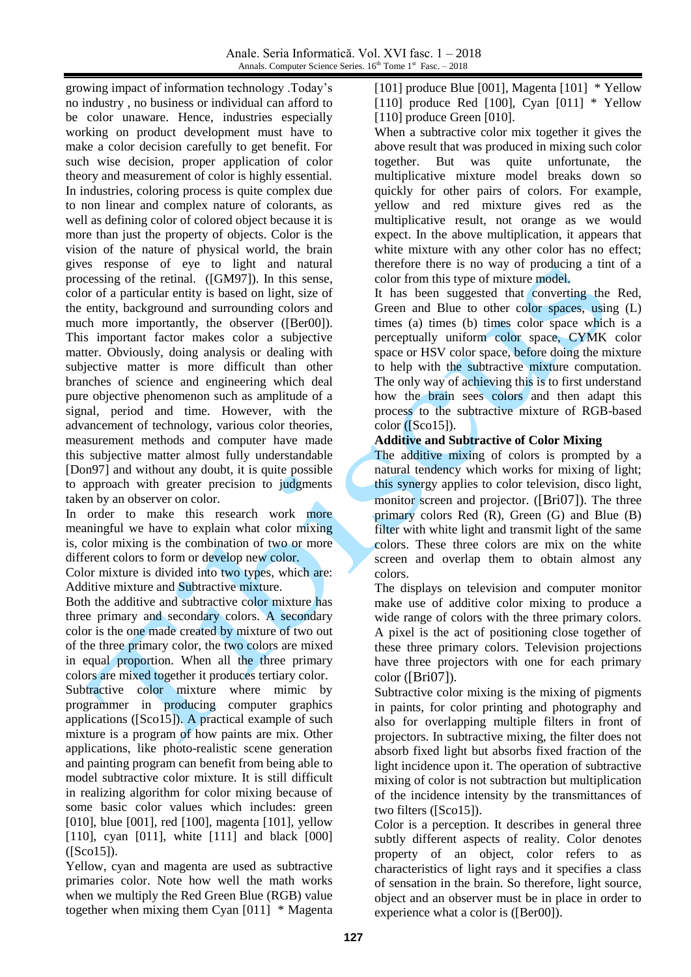growing impact of information technology .Today's no industry , no business or individual can afford to be color unaware. Hence, industries especially working on product development must have to make a color decision carefully to get benefit. For such wise decision, proper application of color theory and measurement of color is highly essential. In industries, coloring process is quite complex due to non linear and complex nature of colorants, as well as defining color of colored object because it is more than just the property of objects. Color is the vision of the nature of physical world, the brain gives response of eye to light and natural processing of the retinal. ([GM97]). In this sense, color of a particular entity is based on light, size of the entity, background and surrounding colors and much more importantly, the observer ([Ber00]). This important factor makes color a subjective matter. Obviously, doing analysis or dealing with subjective matter is more difficult than other branches of science and engineering which deal pure objective phenomenon such as amplitude of a signal, period and time. However, with the advancement of technology, various color theories, measurement methods and computer have made this subjective matter almost fully understandable [Don97] and without any doubt, it is quite possible to approach with greater precision to judgments taken by an observer on color.

In order to make this research work more meaningful we have to explain what color mixing is, color mixing is the combination of two or more different colors to form or develop new color.

Color mixture is divided into two types, which are: Additive mixture and Subtractive mixture.

Both the additive and subtractive color mixture has three primary and secondary colors. A secondary color is the one made created by mixture of two out of the three primary color, the two colors are mixed in equal proportion. When all the three primary colors are mixed together it produces tertiary color.

Subtractive color mixture where mimic by programmer in producing computer graphics applications ([Sco15]). A practical example of such mixture is a program of how paints are mix. Other applications, like photo-realistic scene generation and painting program can benefit from being able to model subtractive color mixture. It is still difficult in realizing algorithm for color mixing because of some basic color values which includes: green [010], blue [001], red [100], magenta [101], yellow [110], cyan [011], white [111] and black [000]  $(ISco15I).$ 

Yellow, cyan and magenta are used as subtractive primaries color. Note how well the math works when we multiply the Red Green Blue (RGB) value together when mixing them Cyan [011] \* Magenta

[101] produce Blue [001], Magenta  $[101]$  \* Yellow [110] produce Red [100], Cyan  $[011]$  \* Yellow [110] produce Green [010].

When a subtractive color mix together it gives the above result that was produced in mixing such color together. But was quite unfortunate, the multiplicative mixture model breaks down so quickly for other pairs of colors. For example, yellow and red mixture gives red as the multiplicative result, not orange as we would expect. In the above multiplication, it appears that white mixture with any other color has no effect; therefore there is no way of producing a tint of a color from this type of mixture model.

It has been suggested that converting the Red, Green and Blue to other color spaces, using (L) times (a) times (b) times color space which is a perceptually uniform color space, CYMK color space or HSV color space, before doing the mixture to help with the subtractive mixture computation. The only way of achieving this is to first understand how the brain sees colors and then adapt this process to the subtractive mixture of RGB-based color ([Sco15]).

#### **Additive and Subtractive of Color Mixing**

The additive mixing of colors is prompted by a natural tendency which works for mixing of light; this synergy applies to color television, disco light, monitor screen and projector. ([Bri07]). The three primary colors Red  $(R)$ , Green  $(G)$  and Blue  $(B)$ filter with white light and transmit light of the same colors. These three colors are mix on the white screen and overlap them to obtain almost any colors.

The displays on television and computer monitor make use of additive color mixing to produce a wide range of colors with the three primary colors. A pixel is the act of positioning close together of these three primary colors. Television projections have three projectors with one for each primary color ([Bri07]).

Subtractive color mixing is the mixing of pigments in paints, for color printing and photography and also for overlapping multiple filters in front of projectors. In subtractive mixing, the filter does not absorb fixed light but absorbs fixed fraction of the light incidence upon it. The operation of subtractive mixing of color is not subtraction but multiplication of the incidence intensity by the transmittances of two filters ([Sco15]).

Color is a perception. It describes in general three subtly different aspects of reality. Color denotes property of an object, color refers to as characteristics of light rays and it specifies a class of sensation in the brain. So therefore, light source, object and an observer must be in place in order to experience what a color is ([Ber00]).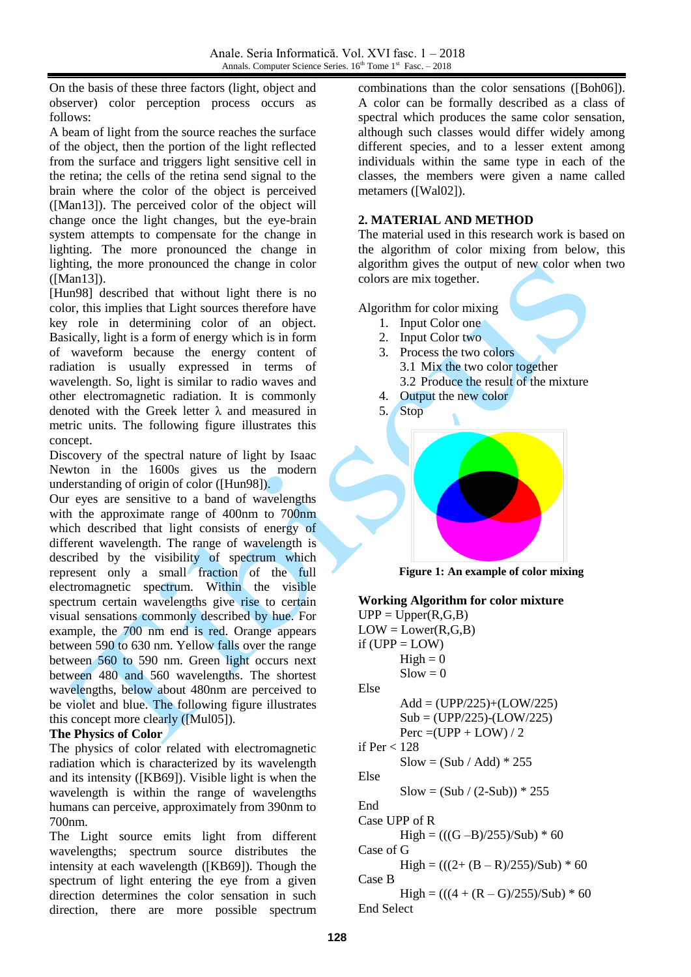On the basis of these three factors (light, object and observer) color perception process occurs as follows:

A beam of light from the source reaches the surface of the object, then the portion of the light reflected from the surface and triggers light sensitive cell in the retina; the cells of the retina send signal to the brain where the color of the object is perceived ([Man13]). The perceived color of the object will change once the light changes, but the eye-brain system attempts to compensate for the change in lighting. The more pronounced the change in lighting, the more pronounced the change in color ([Man13]).

[Hun98] described that without light there is no color, this implies that Light sources therefore have key role in determining color of an object. Basically, light is a form of energy which is in form of waveform because the energy content of radiation is usually expressed in terms of wavelength. So, light is similar to radio waves and other electromagnetic radiation. It is commonly denoted with the Greek letter  $\lambda$  and measured in metric units. The following figure illustrates this concept.

Discovery of the spectral nature of light by Isaac Newton in the 1600s gives us the modern understanding of origin of color ([Hun98]).

Our eyes are sensitive to a band of wavelengths with the approximate range of 400nm to 700nm which described that light consists of energy of different wavelength. The range of wavelength is described by the visibility of spectrum which represent only a small fraction of the full electromagnetic spectrum. Within the visible spectrum certain wavelengths give rise to certain visual sensations commonly described by hue. For example, the 700 nm end is red. Orange appears between 590 to 630 nm. Yellow falls over the range between 560 to 590 nm. Green light occurs next between 480 and 560 wavelengths. The shortest wavelengths, below about 480nm are perceived to be violet and blue. The following figure illustrates this concept more clearly ([Mul05]).

## **The Physics of Color**

The physics of color related with electromagnetic radiation which is characterized by its wavelength and its intensity ([KB69]). Visible light is when the wavelength is within the range of wavelengths humans can perceive, approximately from 390nm to 700nm.

The Light source emits light from different wavelengths; spectrum source distributes the intensity at each wavelength ([KB69]). Though the spectrum of light entering the eye from a given direction determines the color sensation in such direction, there are more possible spectrum

combinations than the color sensations ([Boh06]). A color can be formally described as a class of spectral which produces the same color sensation, although such classes would differ widely among different species, and to a lesser extent among individuals within the same type in each of the classes, the members were given a name called metamers ([Wal02]).

# **2. MATERIAL AND METHOD**

The material used in this research work is based on the algorithm of color mixing from below, this algorithm gives the output of new color when two colors are mix together.

Algorithm for color mixing

- 1. Input Color one
- 2. Input Color two
- 3. Process the two colors 3.1 Mix the two color together 3.2 Produce the result of the mixture
- 4. Output the new color





**Figure 1: An example of color mixing**

## **Working Algorithm for color mixture**

 $UPP = Upper(R, G, B)$  $LOW = Lower(R,G,B)$  $if (UPP = LOW)$  $High = 0$  $Slow = 0$ Else  $Add = (UPP/225)+(LOW/225)$  $Sub = (UPP/225) - (LOW/225)$ Perc  $=(UPP + LOW)/2$ if Per < 128  $Slow = (Sub / Add) * 255$ Else  $Slow = (Sub / (2-Sub)) * 255$ End Case UPP of R  $High = (((G - B)/255)/Sub) * 60$ Case of G  $High = (((2+(B-R)/255)/Sub) * 60$ Case B  $High = (((4 + (R - G)/255)/Sub) * 60$ End Select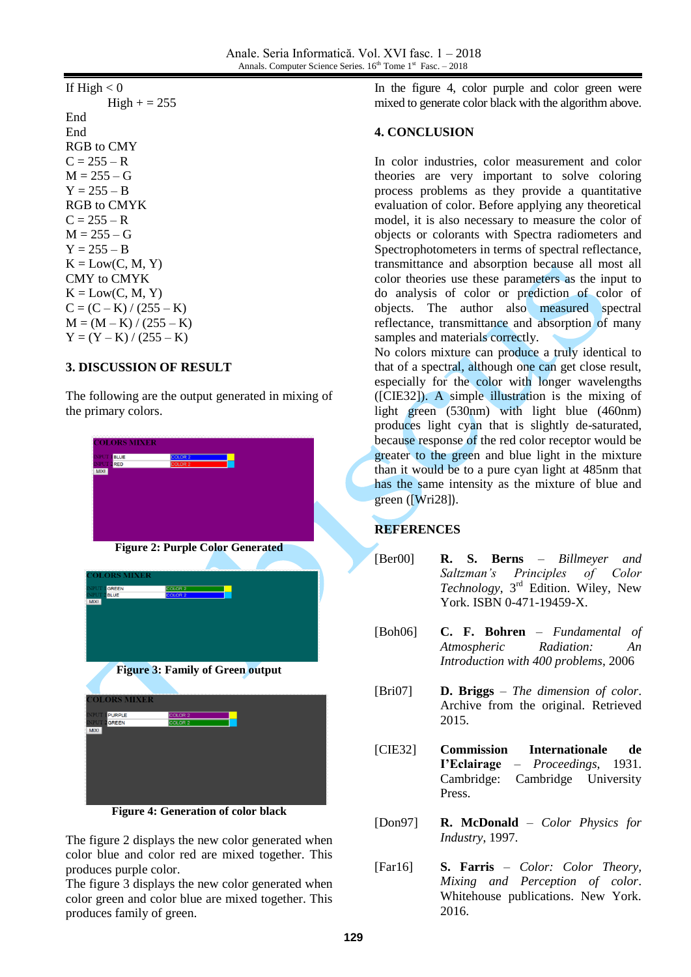| If High $< 0$             |
|---------------------------|
| $High + = 255$            |
| End                       |
| End                       |
| <b>RGB</b> to CMY         |
| $C = 255 - R$             |
| $M = 255 - G$             |
| $Y = 255 - B$             |
| <b>RGB</b> to CMYK        |
| $C = 255 - R$             |
| $M = 255 - G$             |
| $Y = 255 - B$             |
| $K = Low(C, M, Y)$        |
| CMY to CMYK               |
| $K = Low(C, M, Y)$        |
| $C = (C - K) / (255 - K)$ |
| $M = (M - K)/(255 - K)$   |
| $Y = (Y - K)/(255 - K)$   |

## **3. DISCUSSION OF RESULT**

The following are the output generated in mixing of the primary colors.

|                       | <b>COLORS MIXER</b> |                                         |  |
|-----------------------|---------------------|-----------------------------------------|--|
| <b>NPUT</b>           | <b>BLUE</b>         | COLOR <sub>2</sub>                      |  |
|                       | NPUT 2 RED          | COLOR <sub>2</sub>                      |  |
| MIX!                  |                     |                                         |  |
|                       |                     | <b>Figure 2: Purple Color Generated</b> |  |
|                       | <b>OLORS MIXER</b>  |                                         |  |
| NPUT I GREEN          |                     | <b>COLOR 2</b>                          |  |
| NPUT :<br><b>MIXI</b> | <b>BLUE</b>         | <b>COLOR 2</b>                          |  |
|                       |                     | <b>Figure 3: Family of Green output</b> |  |
|                       | <b>OLORS MIXER</b>  |                                         |  |
| NPUT 1                | <b>PURPLE</b>       | COLOR <sub>2</sub>                      |  |
| <b>NPUT</b><br>MIXI   | <b>GREEN</b>        | <b>COLOR 2</b>                          |  |

**Figure 4: Generation of color black**

The figure 2 displays the new color generated when color blue and color red are mixed together. This produces purple color.

The figure 3 displays the new color generated when color green and color blue are mixed together. This produces family of green.

In the figure 4, color purple and color green were mixed to generate color black with the algorithm above.

# **4. CONCLUSION**

In color industries, color measurement and color theories are very important to solve coloring process problems as they provide a quantitative evaluation of color. Before applying any theoretical model, it is also necessary to measure the color of objects or colorants with Spectra radiometers and Spectrophotometers in terms of spectral reflectance, transmittance and absorption because all most all color theories use these parameters as the input to do analysis of color or prediction of color of objects. The author also measured spectral reflectance, transmittance and absorption of many samples and materials correctly.

No colors mixture can produce a truly identical to that of a spectral, although one can get close result, especially for the color with longer wavelengths ([CIE32]). A simple illustration is the mixing of light green (530nm) with light blue (460nm) produces light cyan that is slightly de-saturated, because response of the red color receptor would be greater to the green and blue light in the mixture than it would be to a pure cyan light at 485nm that has the same intensity as the mixture of blue and green ([Wri28]).

# **REFERENCES**

- [Ber00] **R. S. Berns** *Billmeyer and Saltzman's Principles of Color Technology*, 3rd Edition. Wiley, New York. ISBN 0-471-19459-X.
- [Boh06] **C. F. Bohren** *Fundamental of Atmospheric Radiation: An Introduction with 400 problems*, 2006
- [Bri07] **D. Briggs** *The dimension of color*. Archive from the original. Retrieved 2015.
- [CIE32] **Commission Internationale de I'Eclairage** – *Proceedings*, 1931. Cambridge: Cambridge University Press.
- [Don97] **R. McDonald** *Color Physics for Industry*, 1997.
- [Far16] **S. Farris** *Color: Color Theory, Mixing and Perception of color*. Whitehouse publications. New York. 2016.